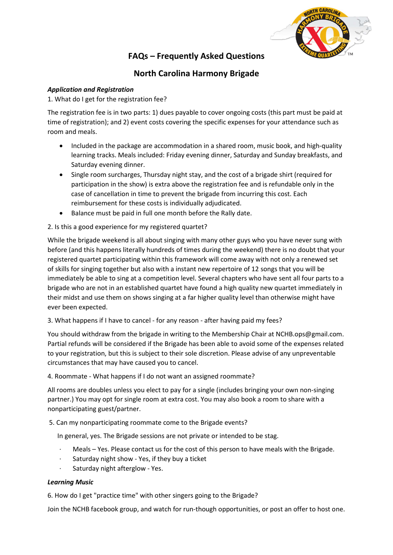

# FAQs – Frequently Asked Questions

# North Carolina Harmony Brigade

## Application and Registration

1. What do I get for the registration fee?

The registration fee is in two parts: 1) dues payable to cover ongoing costs (this part must be paid at time of registration); and 2) event costs covering the specific expenses for your attendance such as room and meals.

- Included in the package are accommodation in a shared room, music book, and high-quality learning tracks. Meals included: Friday evening dinner, Saturday and Sunday breakfasts, and Saturday evening dinner.
- Single room surcharges, Thursday night stay, and the cost of a brigade shirt (required for participation in the show) is extra above the registration fee and is refundable only in the case of cancellation in time to prevent the brigade from incurring this cost. Each reimbursement for these costs is individually adjudicated.
- Balance must be paid in full one month before the Rally date.

## 2. Is this a good experience for my registered quartet?

While the brigade weekend is all about singing with many other guys who you have never sung with before (and this happens literally hundreds of times during the weekend) there is no doubt that your registered quartet participating within this framework will come away with not only a renewed set of skills for singing together but also with a instant new repertoire of 12 songs that you will be immediately be able to sing at a competition level. Several chapters who have sent all four parts to a brigade who are not in an established quartet have found a high quality new quartet immediately in their midst and use them on shows singing at a far higher quality level than otherwise might have ever been expected.

#### 3. What happens if I have to cancel - for any reason - after having paid my fees?

You should withdraw from the brigade in writing to the Membership Chair at NCHB.ops@gmail.com. Partial refunds will be considered if the Brigade has been able to avoid some of the expenses related to your registration, but this is subject to their sole discretion. Please advise of any unpreventable circumstances that may have caused you to cancel.

#### 4. Roommate - What happens if I do not want an assigned roommate?

All rooms are doubles unless you elect to pay for a single (includes bringing your own non-singing partner.) You may opt for single room at extra cost. You may also book a room to share with a nonparticipating guest/partner.

5. Can my nonparticipating roommate come to the Brigade events?

In general, yes. The Brigade sessions are not private or intended to be stag.

- · Meals Yes. Please contact us for the cost of this person to have meals with the Brigade.
- Saturday night show Yes, if they buy a ticket
- Saturday night afterglow Yes.

#### Learning Music

6. How do I get "practice time" with other singers going to the Brigade?

Join the NCHB facebook group, and watch for run-though opportunities, or post an offer to host one.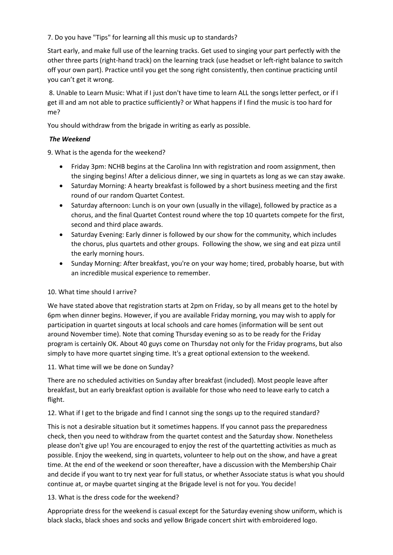7. Do you have "Tips" for learning all this music up to standards?

Start early, and make full use of the learning tracks. Get used to singing your part perfectly with the other three parts (right-hand track) on the learning track (use headset or left-right balance to switch off your own part). Practice until you get the song right consistently, then continue practicing until you can't get it wrong.

8. Unable to Learn Music: What if I just don't have time to learn ALL the songs letter perfect, or if I get ill and am not able to practice sufficiently? or What happens if I find the music is too hard for me?

You should withdraw from the brigade in writing as early as possible.

#### The Weekend

9. What is the agenda for the weekend?

- Friday 3pm: NCHB begins at the Carolina Inn with registration and room assignment, then the singing begins! After a delicious dinner, we sing in quartets as long as we can stay awake.
- Saturday Morning: A hearty breakfast is followed by a short business meeting and the first round of our random Quartet Contest.
- Saturday afternoon: Lunch is on your own (usually in the village), followed by practice as a chorus, and the final Quartet Contest round where the top 10 quartets compete for the first, second and third place awards.
- Saturday Evening: Early dinner is followed by our show for the community, which includes the chorus, plus quartets and other groups. Following the show, we sing and eat pizza until the early morning hours.
- Sunday Morning: After breakfast, you're on your way home; tired, probably hoarse, but with an incredible musical experience to remember.

#### 10. What time should I arrive?

We have stated above that registration starts at 2pm on Friday, so by all means get to the hotel by 6pm when dinner begins. However, if you are available Friday morning, you may wish to apply for participation in quartet singouts at local schools and care homes (information will be sent out around November time). Note that coming Thursday evening so as to be ready for the Friday program is certainly OK. About 40 guys come on Thursday not only for the Friday programs, but also simply to have more quartet singing time. It's a great optional extension to the weekend.

# 11. What time will we be done on Sunday?

There are no scheduled activities on Sunday after breakfast (included). Most people leave after breakfast, but an early breakfast option is available for those who need to leave early to catch a flight.

#### 12. What if I get to the brigade and find I cannot sing the songs up to the required standard?

This is not a desirable situation but it sometimes happens. If you cannot pass the preparedness check, then you need to withdraw from the quartet contest and the Saturday show. Nonetheless please don't give up! You are encouraged to enjoy the rest of the quartetting activities as much as possible. Enjoy the weekend, sing in quartets, volunteer to help out on the show, and have a great time. At the end of the weekend or soon thereafter, have a discussion with the Membership Chair and decide if you want to try next year for full status, or whether Associate status is what you should continue at, or maybe quartet singing at the Brigade level is not for you. You decide!

#### 13. What is the dress code for the weekend?

Appropriate dress for the weekend is casual except for the Saturday evening show uniform, which is black slacks, black shoes and socks and yellow Brigade concert shirt with embroidered logo.